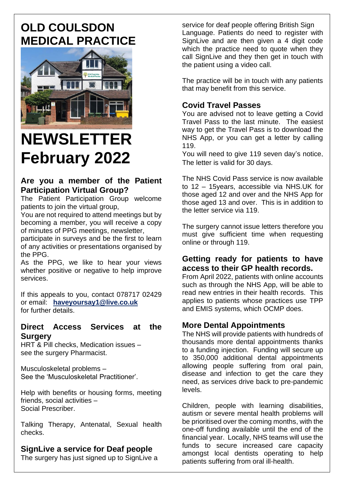# **OLD COULSDON MEDICAL PRACTICE**



# **NEWSLETTER February 2022**

# **Are you a member of the Patient Participation Virtual Group?**

The Patient Participation Group welcome patients to join the virtual group.

You are not required to attend meetings but by becoming a member, you will receive a copy of minutes of PPG meetings, newsletter,

participate in surveys and be the first to learn of any activities or presentations organised by the PPG.

As the PPG, we like to hear your views whether positive or negative to help improve services.

If this appeals to you, contact 078717 02429 or email: **[haveyoursay1@live.co.uk](mailto:haveyoursay1@live.co.uk)** for further details.

#### **Direct Access Services at the Surgery**

HRT & Pill checks, Medication issues – see the surgery Pharmacist.

Musculoskeletal problems – See the 'Musculoskeletal Practitioner'.

Help with benefits or housing forms, meeting friends, social activities – Social Prescriber.

Talking Therapy, Antenatal, Sexual health checks.

# **SignLive a service for Deaf people**

The surgery has just signed up to SignLive a

service for deaf people offering British Sign Language. Patients do need to register with SignLive and are then given a 4 digit code which the practice need to quote when they call SignLive and they then get in touch with the patient using a video call.

The practice will be in touch with any patients that may benefit from this service.

# **Covid Travel Passes**

You are advised not to leave getting a Covid Travel Pass to the last minute. The easiest way to get the Travel Pass is to download the NHS App, or you can get a letter by calling 119.

You will need to give 119 seven day's notice. The letter is valid for 30 days.

The NHS Covid Pass service is now available to 12 – 15years, accessible via NHS.UK for those aged 12 and over and the NHS App for those aged 13 and over. This is in addition to the letter service via 119.

The surgery cannot issue letters therefore you must give sufficient time when requesting online or through 119.

#### **Getting ready for patients to have access to their GP health records.**

From April 2022, patients with online accounts such as through the NHS App, will be able to read new entries in their health records. This applies to patients whose practices use TPP and EMIS systems, which OCMP does.

# **More Dental Appointments**

The NHS will provide patients with hundreds of thousands more dental appointments thanks to a funding injection. Funding will secure up to 350,000 additional dental appointments allowing people suffering from oral pain, disease and infection to get the care they need, as services drive back to pre-pandemic levels.

Children, people with learning disabilities, autism or severe mental health problems will be prioritised over the coming months, with the one-off funding available until the end of the financial year. Locally, NHS teams will use the funds to secure increased care capacity amongst local dentists operating to help patients suffering from oral ill-health.